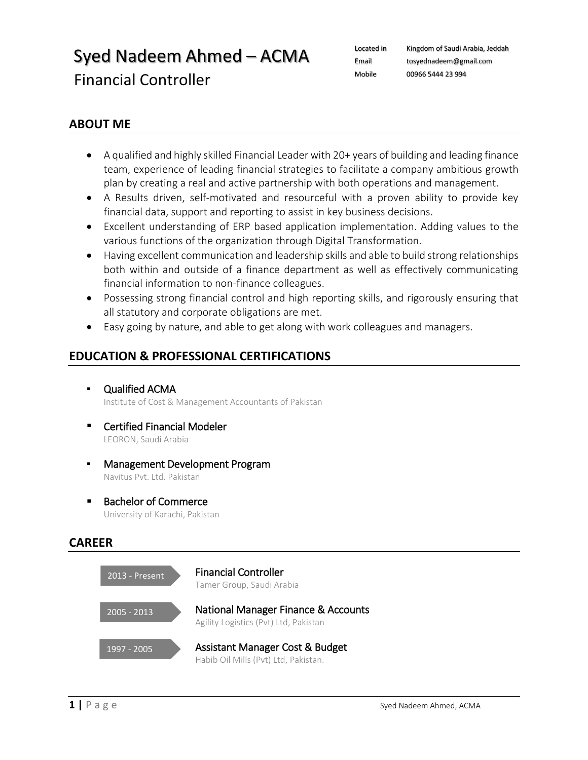# $Syed$  Nadeem Ahmed – ACMA Located in Kingdom of Saudi Arabia, Jeddah Financial Controller

[tosyednadeem@gmail.com](mailto:tosyednadeem@gmail.com) Mobile 00966 5444 23 994

### **ABOUT ME**

- A qualified and highly skilled Financial Leader with 20+ years of building and leading finance team, experience of leading financial strategies to facilitate a company ambitious growth plan by creating a real and active partnership with both operations and management.
- A Results driven, self-motivated and resourceful with a proven ability to provide key financial data, support and reporting to assist in key business decisions.
- Excellent understanding of ERP based application implementation. Adding values to the various functions of the organization through Digital Transformation.
- Having excellent communication and leadership skills and able to build strong relationships both within and outside of a finance department as well as effectively communicating financial information to non-finance colleagues.
- Possessing strong financial control and high reporting skills, and rigorously ensuring that all statutory and corporate obligations are met.
- Easy going by nature, and able to get along with work colleagues and managers.

## **EDUCATION & PROFESSIONAL CERTIFICATIONS**

- Qualified ACMA Institute of Cost & Management Accountants of Pakistan
- Certified Financial Modeler LEORON, Saudi Arabia
- Management Development Program Navitus Pvt. Ltd. Pakistan
- Bachelor of Commerce University of Karachi, Pakistan

### **CAREER**

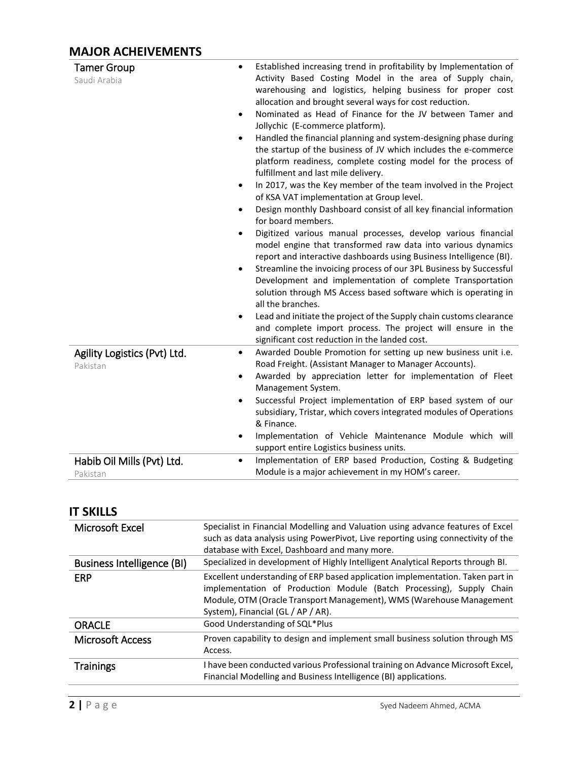# **MAJOR ACHEIVEMENTS**

| <b>Tamer Group</b><br>$\bullet$<br>Saudi Arabia<br>$\bullet$<br>$\bullet$<br>$\bullet$<br>٠<br>$\bullet$<br>$\bullet$<br>٠ | Established increasing trend in profitability by Implementation of<br>Activity Based Costing Model in the area of Supply chain,<br>warehousing and logistics, helping business for proper cost<br>allocation and brought several ways for cost reduction.<br>Nominated as Head of Finance for the JV between Tamer and<br>Jollychic (E-commerce platform).<br>Handled the financial planning and system-designing phase during<br>the startup of the business of JV which includes the e-commerce<br>platform readiness, complete costing model for the process of<br>fulfillment and last mile delivery.<br>In 2017, was the Key member of the team involved in the Project<br>of KSA VAT implementation at Group level.<br>Design monthly Dashboard consist of all key financial information<br>for board members.<br>Digitized various manual processes, develop various financial<br>model engine that transformed raw data into various dynamics<br>report and interactive dashboards using Business Intelligence (BI).<br>Streamline the invoicing process of our 3PL Business by Successful<br>Development and implementation of complete Transportation<br>solution through MS Access based software which is operating in<br>all the branches.<br>Lead and initiate the project of the Supply chain customs clearance<br>and complete import process. The project will ensure in the<br>significant cost reduction in the landed cost. |
|----------------------------------------------------------------------------------------------------------------------------|-------------------------------------------------------------------------------------------------------------------------------------------------------------------------------------------------------------------------------------------------------------------------------------------------------------------------------------------------------------------------------------------------------------------------------------------------------------------------------------------------------------------------------------------------------------------------------------------------------------------------------------------------------------------------------------------------------------------------------------------------------------------------------------------------------------------------------------------------------------------------------------------------------------------------------------------------------------------------------------------------------------------------------------------------------------------------------------------------------------------------------------------------------------------------------------------------------------------------------------------------------------------------------------------------------------------------------------------------------------------------------------------------------------------------------------------------|
| Agility Logistics (Pvt) Ltd.<br>٠<br>Pakistan<br>$\bullet$<br>$\bullet$                                                    | Awarded Double Promotion for setting up new business unit i.e.<br>Road Freight. (Assistant Manager to Manager Accounts).<br>Awarded by appreciation letter for implementation of Fleet<br>Management System.<br>Successful Project implementation of ERP based system of our<br>subsidiary, Tristar, which covers integrated modules of Operations<br>& Finance.<br>Implementation of Vehicle Maintenance Module which will<br>support entire Logistics business units.                                                                                                                                                                                                                                                                                                                                                                                                                                                                                                                                                                                                                                                                                                                                                                                                                                                                                                                                                                         |
| Habib Oil Mills (Pvt) Ltd.<br>$\bullet$<br>Pakistan                                                                        | Implementation of ERP based Production, Costing & Budgeting<br>Module is a major achievement in my HOM's career.                                                                                                                                                                                                                                                                                                                                                                                                                                                                                                                                                                                                                                                                                                                                                                                                                                                                                                                                                                                                                                                                                                                                                                                                                                                                                                                                |

### **IT SKILLS**

| Microsoft Excel                   | Specialist in Financial Modelling and Valuation using advance features of Excel<br>such as data analysis using PowerPivot, Live reporting using connectivity of the<br>database with Excel, Dashboard and many more.                                                 |
|-----------------------------------|----------------------------------------------------------------------------------------------------------------------------------------------------------------------------------------------------------------------------------------------------------------------|
| <b>Business Intelligence (BI)</b> | Specialized in development of Highly Intelligent Analytical Reports through BI.                                                                                                                                                                                      |
| ERP                               | Excellent understanding of ERP based application implementation. Taken part in<br>implementation of Production Module (Batch Processing), Supply Chain<br>Module, OTM (Oracle Transport Management), WMS (Warehouse Management<br>System), Financial (GL / AP / AR). |
| <b>ORACLE</b>                     | Good Understanding of SQL*Plus                                                                                                                                                                                                                                       |
| <b>Microsoft Access</b>           | Proven capability to design and implement small business solution through MS<br>Access.                                                                                                                                                                              |
| <b>Trainings</b>                  | I have been conducted various Professional training on Advance Microsoft Excel,<br>Financial Modelling and Business Intelligence (BI) applications.                                                                                                                  |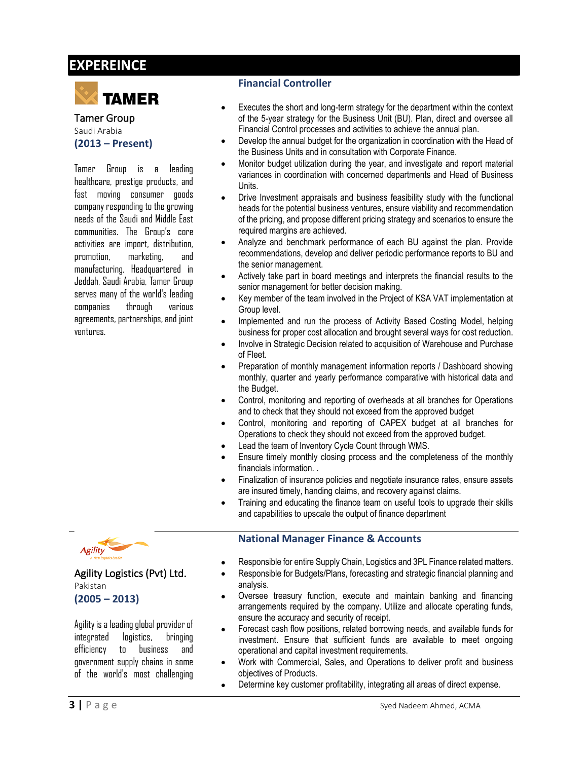# **EXPEREINCE**



Tamer Group Saudi Arabia **(2013 – Present)**

Tamer Group is a leading healthcare, prestige products, and fast moving consumer goods company responding to the growing needs of the Saudi and Middle East communities. The Group's core activities are import, distribution, promotion, marketing, and manufacturing. Headquartered in Jeddah, Saudi Arabia, Tamer Group serves many of the world's leading companies through various agreements, partnerships, and joint ventures.

#### **Financial Controller**

- Executes the short and long-term strategy for the department within the context of the 5-year strategy for the Business Unit (BU). Plan, direct and oversee all Financial Control processes and activities to achieve the annual plan.
- Develop the annual budget for the organization in coordination with the Head of the Business Units and in consultation with Corporate Finance.
- Monitor budget utilization during the year, and investigate and report material variances in coordination with concerned departments and Head of Business Units.
- Drive Investment appraisals and business feasibility study with the functional heads for the potential business ventures, ensure viability and recommendation of the pricing, and propose different pricing strategy and scenarios to ensure the required margins are achieved.
- Analyze and benchmark performance of each BU against the plan. Provide recommendations, develop and deliver periodic performance reports to BU and the senior management.
- Actively take part in board meetings and interprets the financial results to the senior management for better decision making.
- Key member of the team involved in the Project of KSA VAT implementation at Group level.
- Implemented and run the process of Activity Based Costing Model, helping business for proper cost allocation and brought several ways for cost reduction.
- Involve in Strategic Decision related to acquisition of Warehouse and Purchase of Fleet.
- Preparation of monthly management information reports / Dashboard showing monthly, quarter and yearly performance comparative with historical data and the Budget.
- Control, monitoring and reporting of overheads at all branches for Operations and to check that they should not exceed from the approved budget
- Control, monitoring and reporting of CAPEX budget at all branches for Operations to check they should not exceed from the approved budget.
- Lead the team of Inventory Cycle Count through WMS.
- Ensure timely monthly closing process and the completeness of the monthly financials information. .
- Finalization of insurance policies and negotiate insurance rates, ensure assets are insured timely, handing claims, and recovery against claims.
- Training and educating the finance team on useful tools to upgrade their skills and capabilities to upscale the output of finance department

#### **National Manager Finance & Accounts**

- Responsible for entire Supply Chain, Logistics and 3PL Finance related matters.
- Responsible for Budgets/Plans, forecasting and strategic financial planning and analysis.
- Oversee treasury function, execute and maintain banking and financing arrangements required by the company. Utilize and allocate operating funds, ensure the accuracy and security of receipt.
- Forecast cash flow positions, related borrowing needs, and available funds for investment. Ensure that sufficient funds are available to meet ongoing operational and capital investment requirements.
- Work with Commercial, Sales, and Operations to deliver profit and business objectives of Products.
- Determine key customer profitability, integrating all areas of direct expense.



#### Agility Logistics (Pvt) Ltd. Pakistan

**(2005 – 2013)**

Agility is a leading global provider of integrated logistics, bringing efficiency to business and government supply chains in some of the world's most challenging